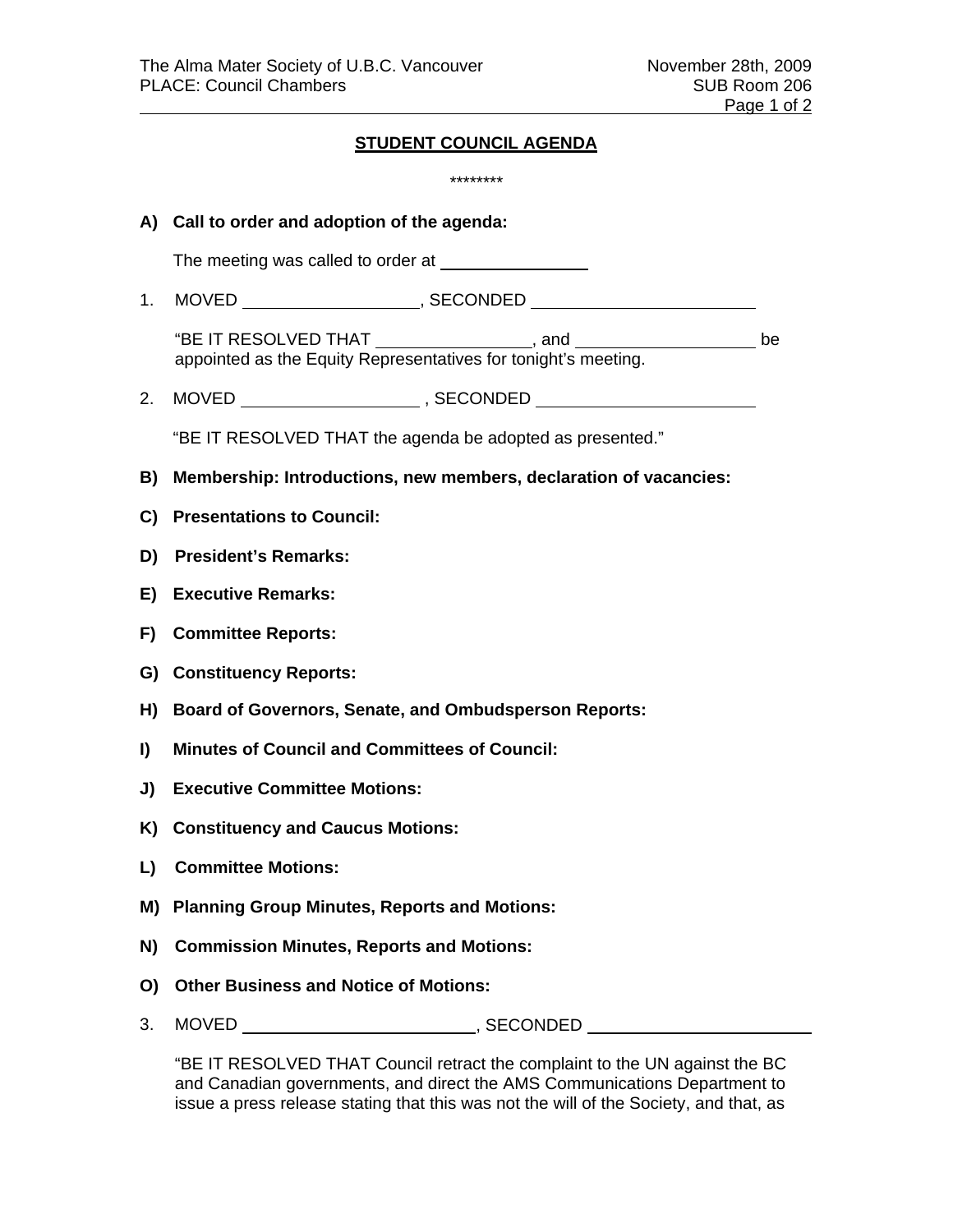## **STUDENT COUNCIL AGENDA**

|              | ********                                                                                                                                                 |  |
|--------------|----------------------------------------------------------------------------------------------------------------------------------------------------------|--|
|              | A) Call to order and adoption of the agenda:                                                                                                             |  |
|              | The meeting was called to order at <b>the meeting</b> was called to order at                                                                             |  |
| 1.           |                                                                                                                                                          |  |
|              | "BE IT RESOLVED THAT _________________, and _____________________ be appointed as the Equity Representatives for tonight's meeting.                      |  |
| 2.           |                                                                                                                                                          |  |
|              | "BE IT RESOLVED THAT the agenda be adopted as presented."                                                                                                |  |
| B)           | Membership: Introductions, new members, declaration of vacancies:                                                                                        |  |
|              | C) Presentations to Council:                                                                                                                             |  |
| D)           | <b>President's Remarks:</b>                                                                                                                              |  |
| E)           | <b>Executive Remarks:</b>                                                                                                                                |  |
|              | F) Committee Reports:                                                                                                                                    |  |
|              | G) Constituency Reports:                                                                                                                                 |  |
|              | H) Board of Governors, Senate, and Ombudsperson Reports:                                                                                                 |  |
| $\mathbf{I}$ | <b>Minutes of Council and Committees of Council:</b>                                                                                                     |  |
| J)           | <b>Executive Committee Motions:</b>                                                                                                                      |  |
|              | K) Constituency and Caucus Motions:                                                                                                                      |  |
|              | L) Committee Motions:                                                                                                                                    |  |
|              | M) Planning Group Minutes, Reports and Motions:                                                                                                          |  |
| N)           | <b>Commission Minutes, Reports and Motions:</b>                                                                                                          |  |
| O)           | <b>Other Business and Notice of Motions:</b>                                                                                                             |  |
| 3.           |                                                                                                                                                          |  |
|              | "BE IT RESOLVED THAT Council retract the complaint to the UN against the BC<br>and Canadian governments, and direct the AMS Communications Department to |  |

"BE IT RESOLVED THAT Council retract the complaint to the UN against the BC and Canadian governments, and direct the AMS Communications Department to issue a press release stating that this was not the will of the Society, and that, as